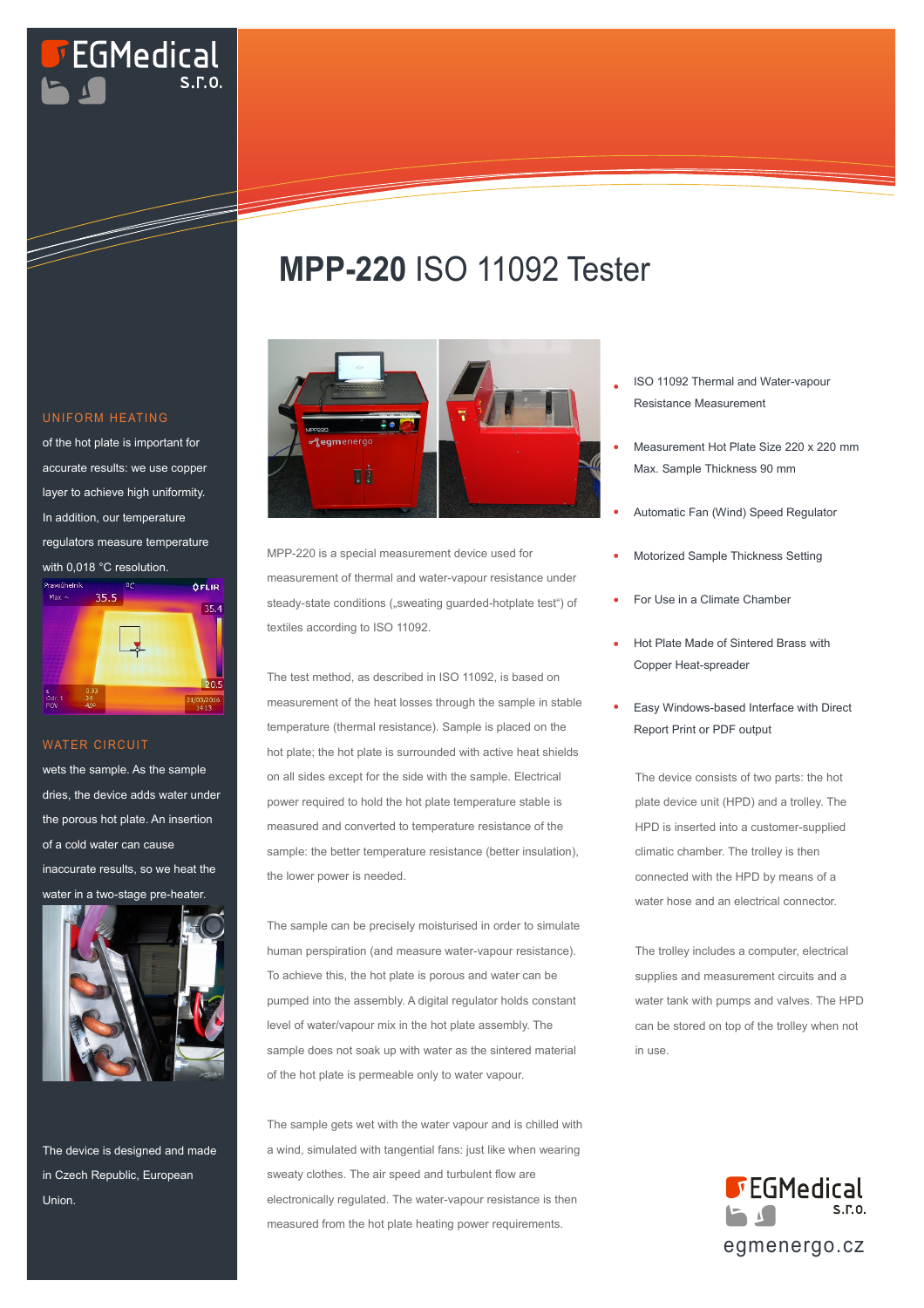# **EGMedical**

### **MPP-220** ISO 11092 Tester



MPP-220 is a special measurement device used for measurement of thermal and water-vapour resistance under steady-state conditions ("sweating guarded-hotplate test") of textiles according to ISO 11092.

The test method, as described in ISO 11092, is based on measurement of the heat losses through the sample in stable temperature (thermal resistance). Sample is placed on the hot plate; the hot plate is surrounded with active heat shields on all sides except for the side with the sample. Electrical power required to hold the hot plate temperature stable is measured and converted to temperature resistance of the sample: the better temperature resistance (better insulation), the lower power is needed.

The sample can be precisely moisturised in order to simulate human perspiration (and measure water-vapour resistance). To achieve this, the hot plate is porous and water can be pumped into the assembly. A digital regulator holds constant level of water/vapour mix in the hot plate assembly. The sample does not soak up with water as the sintered material of the hot plate is permeable only to water vapour.

The sample gets wet with the water vapour and is chilled with a wind, simulated with tangential fans: just like when wearing sweaty clothes. The air speed and turbulent flow are electronically regulated. The water-vapour resistance is then measured from the hot plate heating power requirements.

- ISO 11092 Thermal and Water-vapour Resistance Measurement
- Measurement Hot Plate Size 220 x 220 mm Max. Sample Thickness 90 mm
- Automatic Fan (Wind) Speed Regulator
- Motorized Sample Thickness Setting
- For Use in a Climate Chamber
- Hot Plate Made of Sintered Brass with Copper Heat-spreader
- Easy Windows-based Interface with Direct Report Print or PDF output

The device consists of two parts: the hot plate device unit (HPD) and a trolley. The HPD is inserted into a customer-supplied climatic chamber. The trolley is then connected with the HPD by means of a water hose and an electrical connector.

The trolley includes a computer, electrical supplies and measurement circuits and a water tank with pumps and valves. The HPD can be stored on top of the trolley when not in use.



#### UNIFORM HEATING

of the hot plate is important for accurate results: we use copper layer to achieve high uniformity. In addition, our temperature regulators measure temperature with 0,018 °C resolution.



#### WATER CIRCUIT

wets the sample. As the sample dries, the device adds water under the porous hot plate. An insertion of a cold water can cause inaccurate results, so we heat the water in a two-stage pre-heater.



The device is designed and made in Czech Republic, European Union.